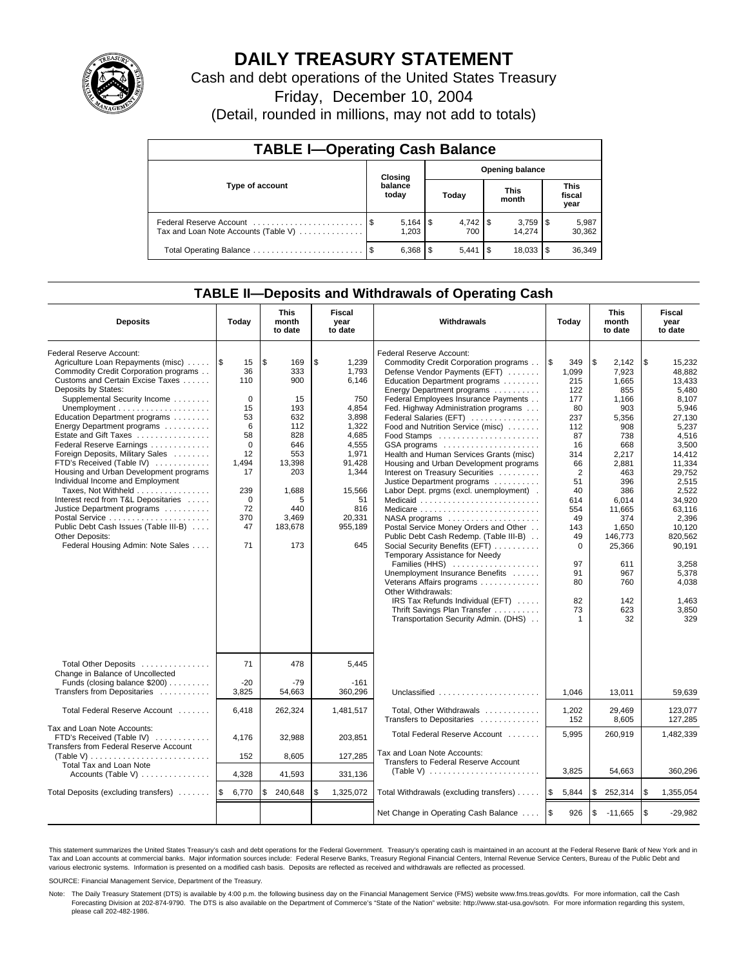

# **DAILY TREASURY STATEMENT**

Cash and debt operations of the United States Treasury

Friday, December 10, 2004

(Detail, rounded in millions, may not add to totals)

| <b>TABLE I-Operating Cash Balance</b>                           |                                   |                  |       |       |                      |        |                               |                 |  |  |
|-----------------------------------------------------------------|-----------------------------------|------------------|-------|-------|----------------------|--------|-------------------------------|-----------------|--|--|
|                                                                 | <b>Opening balance</b><br>Closing |                  |       |       |                      |        |                               |                 |  |  |
| Type of account                                                 |                                   | balance<br>today | Today |       | <b>This</b><br>month |        | <b>This</b><br>fiscal<br>year |                 |  |  |
| Federal Reserve Account<br>Tax and Loan Note Accounts (Table V) |                                   | 1,203            |       | 700   |                      | 14.274 |                               | 5,987<br>30,362 |  |  |
|                                                                 | - \$                              | 6,368            | l \$  | 5.441 | -\$                  | 18,033 |                               | 36,349          |  |  |

### **TABLE II—Deposits and Withdrawals of Operating Cash**

| <b>Deposits</b>                                                                                                                                                                                                                                                                                                                                                                                                                                                                                                                                                                                                                                                        | Today                                                                                                                                 | <b>This</b><br>month<br>to date                                                                                                          | Fiscal<br>year<br>to date                                                                                                                                        | Withdrawals                                                                                                                                                                                                                                                                                                                                                                                                                                                                                                                                                                                                                                                                                                                                                                                                                                                                                                                           | Today                                                                                                                                                                                                          | <b>This</b><br>month<br>to date                                                                                                                                                                                            | Fiscal<br>year<br>to date                                                                                                                                                                                                                                        |
|------------------------------------------------------------------------------------------------------------------------------------------------------------------------------------------------------------------------------------------------------------------------------------------------------------------------------------------------------------------------------------------------------------------------------------------------------------------------------------------------------------------------------------------------------------------------------------------------------------------------------------------------------------------------|---------------------------------------------------------------------------------------------------------------------------------------|------------------------------------------------------------------------------------------------------------------------------------------|------------------------------------------------------------------------------------------------------------------------------------------------------------------|---------------------------------------------------------------------------------------------------------------------------------------------------------------------------------------------------------------------------------------------------------------------------------------------------------------------------------------------------------------------------------------------------------------------------------------------------------------------------------------------------------------------------------------------------------------------------------------------------------------------------------------------------------------------------------------------------------------------------------------------------------------------------------------------------------------------------------------------------------------------------------------------------------------------------------------|----------------------------------------------------------------------------------------------------------------------------------------------------------------------------------------------------------------|----------------------------------------------------------------------------------------------------------------------------------------------------------------------------------------------------------------------------|------------------------------------------------------------------------------------------------------------------------------------------------------------------------------------------------------------------------------------------------------------------|
| Federal Reserve Account:<br>Agriculture Loan Repayments (misc)  S<br>Commodity Credit Corporation programs<br>Customs and Certain Excise Taxes<br>Deposits by States:<br>Supplemental Security Income<br>Education Department programs<br>Energy Department programs<br>Estate and Gift Taxes<br>Federal Reserve Earnings<br>Foreign Deposits, Military Sales<br>FTD's Received (Table IV)<br>Housing and Urban Development programs<br>Individual Income and Employment<br>Taxes, Not Withheld<br>Interest recd from T&L Depositaries<br>Justice Department programs<br>Public Debt Cash Issues (Table III-B)<br>Other Deposits:<br>Federal Housing Admin: Note Sales | 15<br>36<br>110<br>$\mathbf 0$<br>15<br>53<br>6<br>58<br>$\Omega$<br>12<br>1,494<br>17<br>239<br>$\mathbf 0$<br>72<br>370<br>47<br>71 | \$<br>169<br>333<br>900<br>15<br>193<br>632<br>112<br>828<br>646<br>553<br>13,398<br>203<br>1,688<br>5<br>440<br>3,469<br>183,678<br>173 | \$<br>1,239<br>1.793<br>6,146<br>750<br>4,854<br>3,898<br>1,322<br>4.685<br>4,555<br>1,971<br>91,428<br>1,344<br>15,566<br>51<br>816<br>20.331<br>955,189<br>645 | Federal Reserve Account:<br>Commodity Credit Corporation programs<br>Defense Vendor Payments (EFT)<br>Education Department programs<br>Energy Department programs<br>Federal Employees Insurance Payments<br>Fed. Highway Administration programs<br>Federal Salaries (EFT)<br>Food and Nutrition Service (misc)<br>GSA programs<br>Health and Human Services Grants (misc)<br>Housing and Urban Development programs<br>Interest on Treasury Securities<br>Justice Department programs<br>Labor Dept. prgms (excl. unemployment).<br>Medicaid<br>Medicare<br>Postal Service Money Orders and Other<br>Public Debt Cash Redemp. (Table III-B)<br>Social Security Benefits (EFT)<br>Temporary Assistance for Needy<br>Families (HHS)<br>Unemployment Insurance Benefits<br>Veterans Affairs programs<br>Other Withdrawals:<br>IRS Tax Refunds Individual (EFT)<br>Thrift Savings Plan Transfer<br>Transportation Security Admin. (DHS) | l\$<br>349<br>1,099<br>215<br>122<br>177<br>80<br>237<br>112<br>87<br>16<br>314<br>66<br>$\overline{2}$<br>51<br>40<br>614<br>554<br>49<br>143<br>49<br>$\Omega$<br>97<br>91<br>80<br>82<br>73<br>$\mathbf{1}$ | \$<br>2.142<br>7,923<br>1,665<br>855<br>1,166<br>903<br>5,356<br>908<br>738<br>668<br>2,217<br>2.881<br>463<br>396<br>386<br>6.014<br>11.665<br>374<br>1.650<br>146.773<br>25,366<br>611<br>967<br>760<br>142<br>623<br>32 | \$<br>15.232<br>48,882<br>13,433<br>5,480<br>8,107<br>5.946<br>27.130<br>5,237<br>4.516<br>3,500<br>14.412<br>11,334<br>29,752<br>2,515<br>2,522<br>34,920<br>63.116<br>2,396<br>10.120<br>820.562<br>90,191<br>3,258<br>5,378<br>4,038<br>1,463<br>3,850<br>329 |
| Total Other Deposits<br>Change in Balance of Uncollected<br>Funds (closing balance \$200)<br>Transfers from Depositaries                                                                                                                                                                                                                                                                                                                                                                                                                                                                                                                                               | 71<br>$-20$<br>3,825                                                                                                                  | 478<br>$-79$<br>54,663                                                                                                                   | 5,445<br>$-161$<br>360,296                                                                                                                                       | Unclassified                                                                                                                                                                                                                                                                                                                                                                                                                                                                                                                                                                                                                                                                                                                                                                                                                                                                                                                          | 1,046                                                                                                                                                                                                          | 13,011                                                                                                                                                                                                                     | 59,639                                                                                                                                                                                                                                                           |
| Total Federal Reserve Account                                                                                                                                                                                                                                                                                                                                                                                                                                                                                                                                                                                                                                          | 6,418                                                                                                                                 | 262,324                                                                                                                                  | 1,481,517                                                                                                                                                        | Total, Other Withdrawals<br>Transfers to Depositaries                                                                                                                                                                                                                                                                                                                                                                                                                                                                                                                                                                                                                                                                                                                                                                                                                                                                                 | 1,202<br>152                                                                                                                                                                                                   | 29,469<br>8,605                                                                                                                                                                                                            | 123,077<br>127,285                                                                                                                                                                                                                                               |
| Tax and Loan Note Accounts:<br>FTD's Received (Table IV)<br><b>Transfers from Federal Reserve Account</b><br>(Table V)                                                                                                                                                                                                                                                                                                                                                                                                                                                                                                                                                 | 4.176<br>152                                                                                                                          | 32.988<br>8,605                                                                                                                          | 203.851<br>127,285                                                                                                                                               | Total Federal Reserve Account<br>Tax and Loan Note Accounts:<br>Transfers to Federal Reserve Account                                                                                                                                                                                                                                                                                                                                                                                                                                                                                                                                                                                                                                                                                                                                                                                                                                  | 5,995                                                                                                                                                                                                          | 260,919                                                                                                                                                                                                                    | 1,482,339                                                                                                                                                                                                                                                        |
| Total Tax and Loan Note<br>Accounts (Table V)                                                                                                                                                                                                                                                                                                                                                                                                                                                                                                                                                                                                                          | 4,328                                                                                                                                 | 41,593                                                                                                                                   | 331,136                                                                                                                                                          |                                                                                                                                                                                                                                                                                                                                                                                                                                                                                                                                                                                                                                                                                                                                                                                                                                                                                                                                       | 3,825                                                                                                                                                                                                          | 54,663                                                                                                                                                                                                                     | 360.296                                                                                                                                                                                                                                                          |
| Total Deposits (excluding transfers)    \$                                                                                                                                                                                                                                                                                                                                                                                                                                                                                                                                                                                                                             | 6,770                                                                                                                                 | \$<br>240,648                                                                                                                            | \$<br>1,325,072                                                                                                                                                  | Total Withdrawals (excluding transfers)                                                                                                                                                                                                                                                                                                                                                                                                                                                                                                                                                                                                                                                                                                                                                                                                                                                                                               | ۱\$<br>5,844                                                                                                                                                                                                   | \$<br>252,314                                                                                                                                                                                                              | \$<br>1,355,054                                                                                                                                                                                                                                                  |
|                                                                                                                                                                                                                                                                                                                                                                                                                                                                                                                                                                                                                                                                        |                                                                                                                                       |                                                                                                                                          |                                                                                                                                                                  | Net Change in Operating Cash Balance                                                                                                                                                                                                                                                                                                                                                                                                                                                                                                                                                                                                                                                                                                                                                                                                                                                                                                  | l \$<br>926                                                                                                                                                                                                    | \$<br>$-11,665$                                                                                                                                                                                                            | \$<br>$-29.982$                                                                                                                                                                                                                                                  |

This statement summarizes the United States Treasury's cash and debt operations for the Federal Government. Treasury's operating cash is maintained in an account at the Federal Reserve Bank of New York and in Tax and Loan accounts at commercial banks. Major information sources include: Federal Reserve Banks, Treasury Regional Financial Centers, Internal Revenue Service Centers, Bureau of the Public Debt and<br>various electronic s

SOURCE: Financial Management Service, Department of the Treasury.

Note: The Daily Treasury Statement (DTS) is available by 4:00 p.m. the following business day on the Financial Management Service (FMS) website www.fms.treas.gov/dts. For more information, call the Cash Forecasting Division at 202-874-9790. The DTS is also available on the Department of Commerce's "State of the Nation" website: http://www.stat-usa.gov/sotn. For more information regarding this system, please call 202-482-1986.